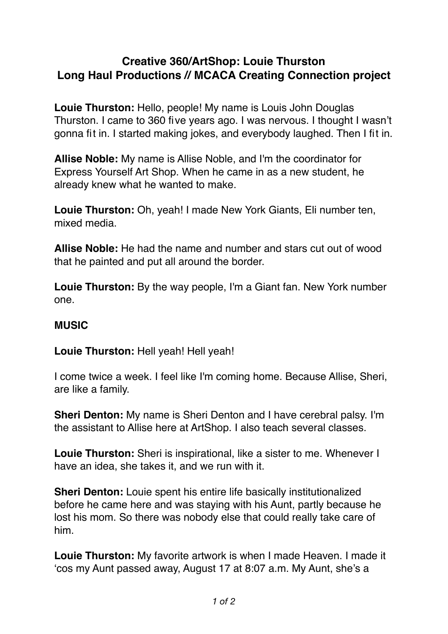## **Creative 360/ArtShop: Louie Thurston Long Haul Productions // MCACA Creating Connection project**

**Louie Thurston:** Hello, people! My name is Louis John Douglas Thurston. I came to 360 five years ago. I was nervous. I thought I wasn't gonna fit in. I started making jokes, and everybody laughed. Then I fit in.

**Allise Noble:** My name is Allise Noble, and I'm the coordinator for Express Yourself Art Shop. When he came in as a new student, he already knew what he wanted to make.

**Louie Thurston:** Oh, yeah! I made New York Giants, Eli number ten, mixed media.

**Allise Noble:** He had the name and number and stars cut out of wood that he painted and put all around the border.

**Louie Thurston:** By the way people, I'm a Giant fan. New York number one.

## **MUSIC**

**Louie Thurston:** Hell yeah! Hell yeah!

I come twice a week. I feel like I'm coming home. Because Allise, Sheri, are like a family.

**Sheri Denton:** My name is Sheri Denton and I have cerebral palsy. I'm the assistant to Allise here at ArtShop. I also teach several classes.

**Louie Thurston:** Sheri is inspirational, like a sister to me. Whenever I have an idea, she takes it, and we run with it.

**Sheri Denton:** Louie spent his entire life basically institutionalized before he came here and was staying with his Aunt, partly because he lost his mom. So there was nobody else that could really take care of him.

**Louie Thurston:** My favorite artwork is when I made Heaven. I made it 'cos my Aunt passed away, August 17 at 8:07 a.m. My Aunt, she's a